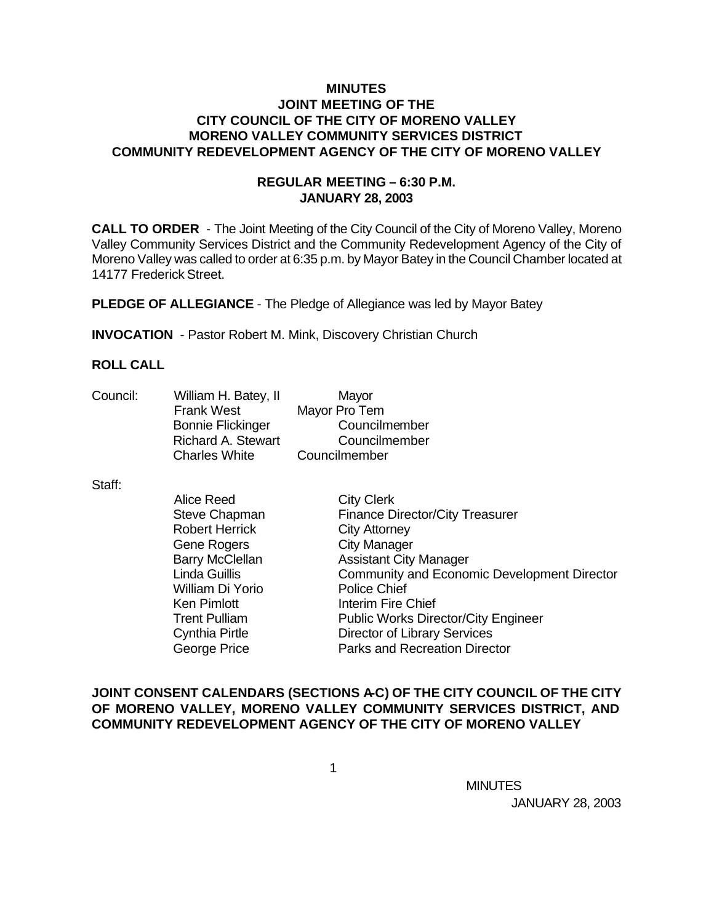## **MINUTES JOINT MEETING OF THE CITY COUNCIL OF THE CITY OF MORENO VALLEY MORENO VALLEY COMMUNITY SERVICES DISTRICT COMMUNITY REDEVELOPMENT AGENCY OF THE CITY OF MORENO VALLEY**

## **REGULAR MEETING – 6:30 P.M. JANUARY 28, 2003**

**CALL TO ORDER** - The Joint Meeting of the City Council of the City of Moreno Valley, Moreno Valley Community Services District and the Community Redevelopment Agency of the City of Moreno Valley was called to order at 6:35 p.m. by Mayor Batey in the Council Chamber located at 14177 Frederick Street.

**PLEDGE OF ALLEGIANCE** - The Pledge of Allegiance was led by Mayor Batey

**INVOCATION** - Pastor Robert M. Mink, Discovery Christian Church

## **ROLL CALL**

| Council: | William H. Batey, II      | Mayor         |
|----------|---------------------------|---------------|
|          | <b>Frank West</b>         | Mayor Pro Tem |
|          | <b>Bonnie Flickinger</b>  | Councilmember |
|          | <b>Richard A. Stewart</b> | Councilmember |
|          | <b>Charles White</b>      | Councilmember |

Staff:

| <b>Alice Reed</b>      | <b>City Clerk</b>                                  |
|------------------------|----------------------------------------------------|
| Steve Chapman          | <b>Finance Director/City Treasurer</b>             |
| <b>Robert Herrick</b>  | <b>City Attorney</b>                               |
| <b>Gene Rogers</b>     | <b>City Manager</b>                                |
| <b>Barry McClellan</b> | <b>Assistant City Manager</b>                      |
| Linda Guillis          | <b>Community and Economic Development Director</b> |
| William Di Yorio       | <b>Police Chief</b>                                |
| <b>Ken Pimlott</b>     | Interim Fire Chief                                 |
| <b>Trent Pulliam</b>   | <b>Public Works Director/City Engineer</b>         |
| <b>Cynthia Pirtle</b>  | <b>Director of Library Services</b>                |
| George Price           | <b>Parks and Recreation Director</b>               |

## **JOINT CONSENT CALENDARS (SECTIONS A-C) OF THE CITY COUNCIL OF THE CITY OF MORENO VALLEY, MORENO VALLEY COMMUNITY SERVICES DISTRICT, AND COMMUNITY REDEVELOPMENT AGENCY OF THE CITY OF MORENO VALLEY**

 $\sim$  1

**MINUTES MINUTES** JANUARY 28, 2003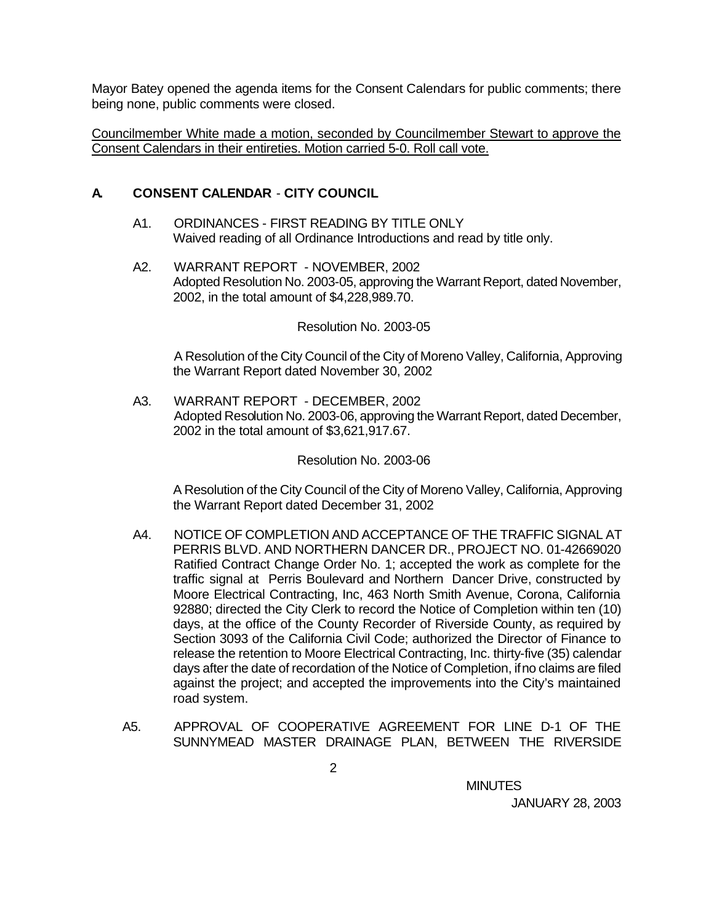Mayor Batey opened the agenda items for the Consent Calendars for public comments; there being none, public comments were closed.

Councilmember White made a motion, seconded by Councilmember Stewart to approve the Consent Calendars in their entireties. Motion carried 5-0. Roll call vote.

## **A. CONSENT CALENDAR** - **CITY COUNCIL**

- A1. ORDINANCES FIRST READING BY TITLE ONLY Waived reading of all Ordinance Introductions and read by title only.
- A2. WARRANT REPORT NOVEMBER, 2002 Adopted Resolution No. 2003-05, approving the Warrant Report, dated November, 2002, in the total amount of \$4,228,989.70.

#### Resolution No. 2003-05

A Resolution of the City Council of the City of Moreno Valley, California, Approving the Warrant Report dated November 30, 2002

A3. WARRANT REPORT - DECEMBER, 2002 Adopted Resolution No. 2003-06, approving the Warrant Report, dated December, 2002 in the total amount of \$3,621,917.67.

### Resolution No. 2003-06

A Resolution of the City Council of the City of Moreno Valley, California, Approving the Warrant Report dated December 31, 2002

- A4. NOTICE OF COMPLETION AND ACCEPTANCE OF THE TRAFFIC SIGNAL AT PERRIS BLVD. AND NORTHERN DANCER DR., PROJECT NO. 01-42669020 Ratified Contract Change Order No. 1; accepted the work as complete for the traffic signal at Perris Boulevard and Northern Dancer Drive, constructed by Moore Electrical Contracting, Inc, 463 North Smith Avenue, Corona, California 92880; directed the City Clerk to record the Notice of Completion within ten (10) days, at the office of the County Recorder of Riverside County, as required by Section 3093 of the California Civil Code; authorized the Director of Finance to release the retention to Moore Electrical Contracting, Inc. thirty-five (35) calendar days after the date of recordation of the Notice of Completion, if no claims are filed against the project; and accepted the improvements into the City's maintained road system.
- A5. APPROVAL OF COOPERATIVE AGREEMENT FOR LINE D-1 OF THE SUNNYMEAD MASTER DRAINAGE PLAN, BETWEEN THE RIVERSIDE

**MINUTES MINUTES**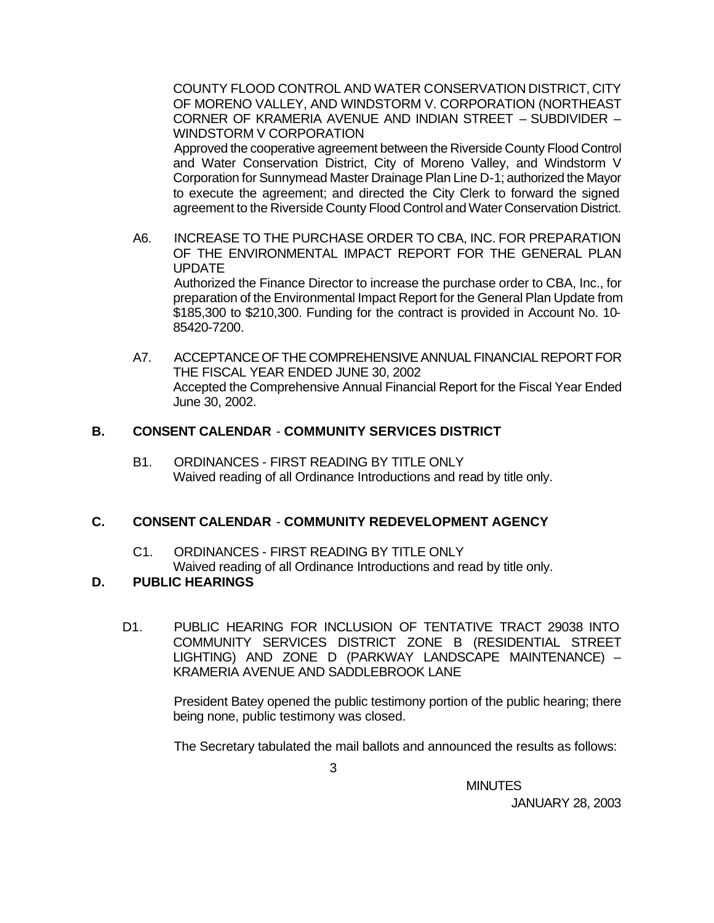COUNTY FLOOD CONTROL AND WATER CONSERVATION DISTRICT, CITY OF MORENO VALLEY, AND WINDSTORM V. CORPORATION (NORTHEAST CORNER OF KRAMERIA AVENUE AND INDIAN STREET – SUBDIVIDER – WINDSTORM V CORPORATION

Approved the cooperative agreement between the Riverside County Flood Control and Water Conservation District, City of Moreno Valley, and Windstorm V Corporation for Sunnymead Master Drainage Plan Line D-1; authorized the Mayor to execute the agreement; and directed the City Clerk to forward the signed agreement to the Riverside County Flood Control and Water Conservation District.

- A6. INCREASE TO THE PURCHASE ORDER TO CBA, INC. FOR PREPARATION OF THE ENVIRONMENTAL IMPACT REPORT FOR THE GENERAL PLAN UPDATE Authorized the Finance Director to increase the purchase order to CBA, Inc., for preparation of the Environmental Impact Report for the General Plan Update from \$185,300 to \$210,300. Funding for the contract is provided in Account No. 10-
- A7. ACCEPTANCE OF THE COMPREHENSIVE ANNUAL FINANCIAL REPORT FOR THE FISCAL YEAR ENDED JUNE 30, 2002 Accepted the Comprehensive Annual Financial Report for the Fiscal Year Ended June 30, 2002.

#### **B. CONSENT CALENDAR** - **COMMUNITY SERVICES DISTRICT**

B1. ORDINANCES - FIRST READING BY TITLE ONLY Waived reading of all Ordinance Introductions and read by title only.

### **C. CONSENT CALENDAR** - **COMMUNITY REDEVELOPMENT AGENCY**

C1. ORDINANCES - FIRST READING BY TITLE ONLY Waived reading of all Ordinance Introductions and read by title only.

#### **D. PUBLIC HEARINGS**

85420-7200.

D1. PUBLIC HEARING FOR INCLUSION OF TENTATIVE TRACT 29038 INTO COMMUNITY SERVICES DISTRICT ZONE B (RESIDENTIAL STREET LIGHTING) AND ZONE D (PARKWAY LANDSCAPE MAINTENANCE) – KRAMERIA AVENUE AND SADDLEBROOK LANE

> President Batey opened the public testimony portion of the public hearing; there being none, public testimony was closed.

> The Secretary tabulated the mail ballots and announced the results as follows:

**MINUTES MINUTES**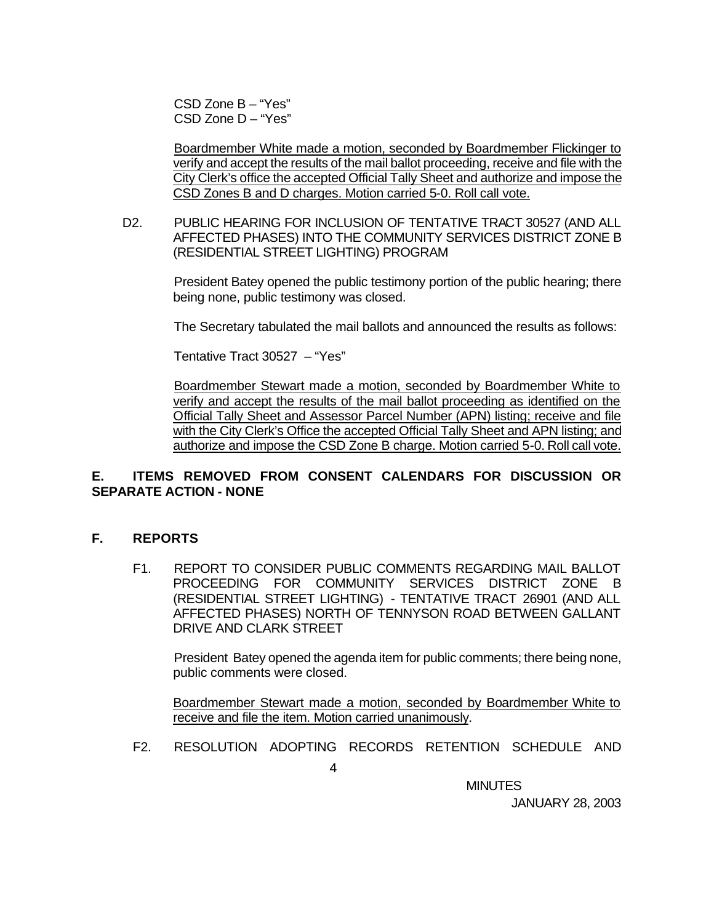CSD Zone B – "Yes" CSD Zone D – "Yes"

Boardmember White made a motion, seconded by Boardmember Flickinger to verify and accept the results of the mail ballot proceeding, receive and file with the City Clerk's office the accepted Official Tally Sheet and authorize and impose the CSD Zones B and D charges. Motion carried 5-0. Roll call vote.

D2. PUBLIC HEARING FOR INCLUSION OF TENTATIVE TRACT 30527 (AND ALL AFFECTED PHASES) INTO THE COMMUNITY SERVICES DISTRICT ZONE B (RESIDENTIAL STREET LIGHTING) PROGRAM

> President Batey opened the public testimony portion of the public hearing; there being none, public testimony was closed.

> The Secretary tabulated the mail ballots and announced the results as follows:

Tentative Tract 30527 – "Yes"

Boardmember Stewart made a motion, seconded by Boardmember White to verify and accept the results of the mail ballot proceeding as identified on the Official Tally Sheet and Assessor Parcel Number (APN) listing; receive and file with the City Clerk's Office the accepted Official Tally Sheet and APN listing; and authorize and impose the CSD Zone B charge. Motion carried 5-0. Roll call vote.

# **E. ITEMS REMOVED FROM CONSENT CALENDARS FOR DISCUSSION OR SEPARATE ACTION - NONE**

### **F. REPORTS**

F1. REPORT TO CONSIDER PUBLIC COMMENTS REGARDING MAIL BALLOT PROCEEDING FOR COMMUNITY SERVICES DISTRICT ZONE B (RESIDENTIAL STREET LIGHTING) - TENTATIVE TRACT 26901 (AND ALL AFFECTED PHASES) NORTH OF TENNYSON ROAD BETWEEN GALLANT DRIVE AND CLARK STREET

President Batey opened the agenda item for public comments; there being none, public comments were closed.

Boardmember Stewart made a motion, seconded by Boardmember White to receive and file the item. Motion carried unanimously.

F2. RESOLUTION ADOPTING RECORDS RETENTION SCHEDULE AND

**MINUTES MINUTES**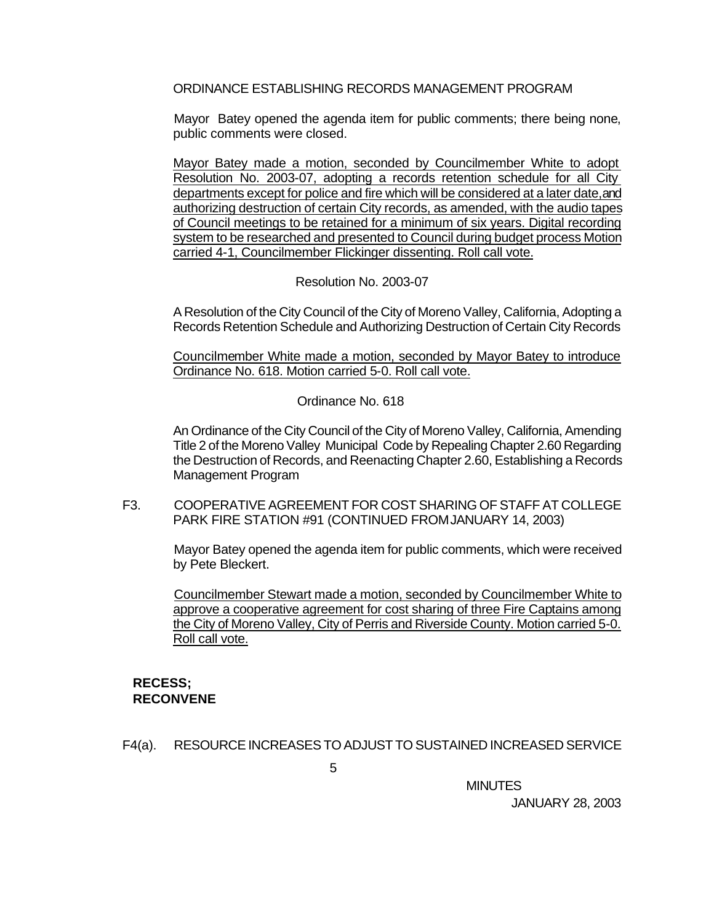ORDINANCE ESTABLISHING RECORDS MANAGEMENT PROGRAM

Mayor Batey opened the agenda item for public comments; there being none, public comments were closed.

Mayor Batey made a motion, seconded by Councilmember White to adopt Resolution No. 2003-07, adopting a records retention schedule for all City departments except for police and fire which will be considered at a later date, and authorizing destruction of certain City records, as amended, with the audio tapes of Council meetings to be retained for a minimum of six years. Digital recording system to be researched and presented to Council during budget process Motion carried 4-1, Councilmember Flickinger dissenting. Roll call vote.

### Resolution No. 2003-07

A Resolution of the City Council of the City of Moreno Valley, California, Adopting a Records Retention Schedule and Authorizing Destruction of Certain City Records

Councilmember White made a motion, seconded by Mayor Batey to introduce Ordinance No. 618. Motion carried 5-0. Roll call vote.

Ordinance No. 618

An Ordinance of the City Council of the City of Moreno Valley, California, Amending Title 2 of the Moreno Valley Municipal Code by Repealing Chapter 2.60 Regarding the Destruction of Records, and Reenacting Chapter 2.60, Establishing a Records Management Program

F3. COOPERATIVE AGREEMENT FOR COST SHARING OF STAFF AT COLLEGE PARK FIRE STATION #91 (CONTINUED FROM JANUARY 14, 2003)

Mayor Batey opened the agenda item for public comments, which were received by Pete Bleckert.

Councilmember Stewart made a motion, seconded by Councilmember White to approve a cooperative agreement for cost sharing of three Fire Captains among the City of Moreno Valley, City of Perris and Riverside County. Motion carried 5-0. Roll call vote.

# **RECESS; RECONVENE**

F4(a). RESOURCE INCREASES TO ADJUST TO SUSTAINED INCREASED SERVICE

**MINUTES MINUTES**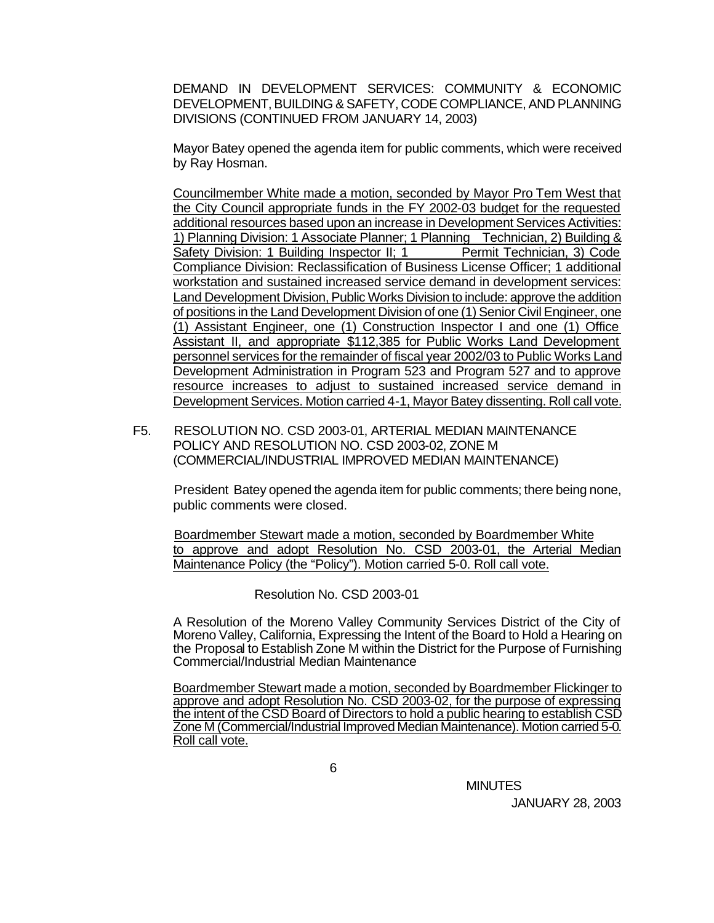DEMAND IN DEVELOPMENT SERVICES: COMMUNITY & ECONOMIC DEVELOPMENT, BUILDING & SAFETY, CODE COMPLIANCE, AND PLANNING DIVISIONS (CONTINUED FROM JANUARY 14, 2003)

Mayor Batey opened the agenda item for public comments, which were received by Ray Hosman.

Councilmember White made a motion, seconded by Mayor Pro Tem West that the City Council appropriate funds in the FY 2002-03 budget for the requested additional resources based upon an increase in Development Services Activities: 1) Planning Division: 1 Associate Planner; 1 Planning Technician, 2) Building & Safety Division: 1 Building Inspector II; 1 Permit Technician, 3) Code Compliance Division: Reclassification of Business License Officer; 1 additional workstation and sustained increased service demand in development services: Land Development Division, Public Works Division to include: approve the addition of positions in the Land Development Division of one (1) Senior Civil Engineer, one (1) Assistant Engineer, one (1) Construction Inspector I and one (1) Office Assistant II, and appropriate \$112,385 for Public Works Land Development personnel services for the remainder of fiscal year 2002/03 to Public Works Land Development Administration in Program 523 and Program 527 and to approve resource increases to adjust to sustained increased service demand in Development Services. Motion carried 4-1, Mayor Batey dissenting. Roll call vote.

F5. RESOLUTION NO. CSD 2003-01, ARTERIAL MEDIAN MAINTENANCE POLICY AND RESOLUTION NO. CSD 2003-02, ZONE M (COMMERCIAL/INDUSTRIAL IMPROVED MEDIAN MAINTENANCE)

President Batey opened the agenda item for public comments; there being none, public comments were closed.

Boardmember Stewart made a motion, seconded by Boardmember White to approve and adopt Resolution No. CSD 2003-01, the Arterial Median Maintenance Policy (the "Policy"). Motion carried 5-0. Roll call vote.

Resolution No. CSD 2003-01

A Resolution of the Moreno Valley Community Services District of the City of Moreno Valley, California, Expressing the Intent of the Board to Hold a Hearing on the Proposal to Establish Zone M within the District for the Purpose of Furnishing Commercial/Industrial Median Maintenance

Boardmember Stewart made a motion, seconded by Boardmember Flickinger to approve and adopt Resolution No. CSD 2003-02, for the purpose of expressing the intent of the CSD Board of Directors to hold a public hearing to establish CSD Zone M (Commercial/Industrial Improved Median Maintenance). Motion carried 5-0. Roll call vote.

**MINUTES MINUTES**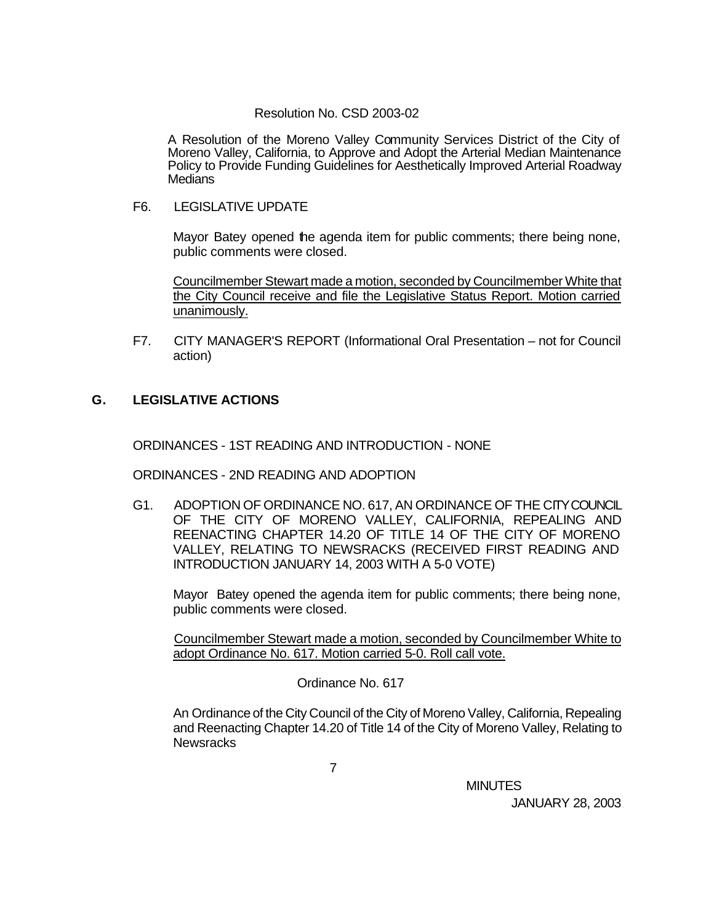### Resolution No. CSD 2003-02

A Resolution of the Moreno Valley Community Services District of the City of Moreno Valley, California, to Approve and Adopt the Arterial Median Maintenance Policy to Provide Funding Guidelines for Aesthetically Improved Arterial Roadway **Medians** 

F6. LEGISLATIVE UPDATE

Mayor Batey opened the agenda item for public comments; there being none, public comments were closed.

Councilmember Stewart made a motion, seconded by Councilmember White that the City Council receive and file the Legislative Status Report. Motion carried unanimously.

F7. CITY MANAGER'S REPORT (Informational Oral Presentation – not for Council action)

# **G. LEGISLATIVE ACTIONS**

ORDINANCES - 1ST READING AND INTRODUCTION - NONE

ORDINANCES - 2ND READING AND ADOPTION

G1. ADOPTION OF ORDINANCE NO. 617, AN ORDINANCE OF THE CITY COUNCIL OF THE CITY OF MORENO VALLEY, CALIFORNIA, REPEALING AND REENACTING CHAPTER 14.20 OF TITLE 14 OF THE CITY OF MORENO VALLEY, RELATING TO NEWSRACKS (RECEIVED FIRST READING AND INTRODUCTION JANUARY 14, 2003 WITH A 5-0 VOTE)

Mayor Batey opened the agenda item for public comments; there being none, public comments were closed.

Councilmember Stewart made a motion, seconded by Councilmember White to adopt Ordinance No. 617. Motion carried 5-0. Roll call vote.

Ordinance No. 617

An Ordinance of the City Council of the City of Moreno Valley, California, Repealing and Reenacting Chapter 14.20 of Title 14 of the City of Moreno Valley, Relating to **Newsracks** 

**MINUTES MINUTES**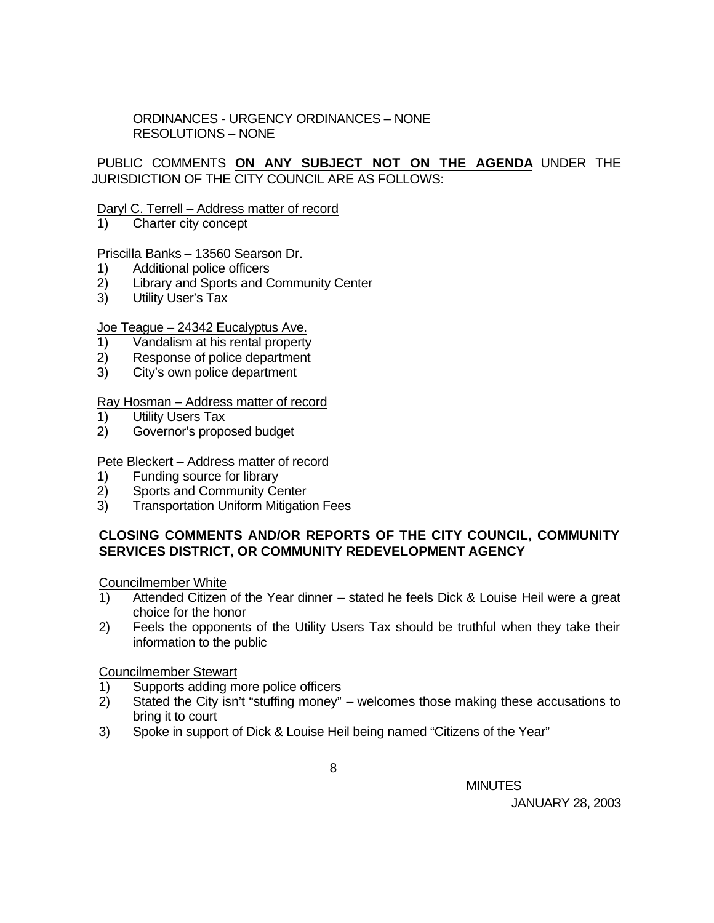ORDINANCES - URGENCY ORDINANCES – NONE RESOLUTIONS – NONE

# PUBLIC COMMENTS **ON ANY SUBJECT NOT ON THE AGENDA** UNDER THE JURISDICTION OF THE CITY COUNCIL ARE AS FOLLOWS:

### Daryl C. Terrell – Address matter of record

1) Charter city concept

### Priscilla Banks – 13560 Searson Dr.

- 1) Additional police officers
- 2) Library and Sports and Community Center
- 3) Utility User's Tax

### Joe Teague – 24342 Eucalyptus Ave.

- 1) Vandalism at his rental property
- 2) Response of police department
- 3) City's own police department

### Ray Hosman – Address matter of record

- 1) Utility Users Tax
- 2) Governor's proposed budget

### Pete Bleckert – Address matter of record

- 1) Funding source for library
- 2) Sports and Community Center
- 3) Transportation Uniform Mitigation Fees

# **CLOSING COMMENTS AND/OR REPORTS OF THE CITY COUNCIL, COMMUNITY SERVICES DISTRICT, OR COMMUNITY REDEVELOPMENT AGENCY**

Councilmember White

- 1) Attended Citizen of the Year dinner stated he feels Dick & Louise Heil were a great choice for the honor
- 2) Feels the opponents of the Utility Users Tax should be truthful when they take their information to the public

Councilmember Stewart

- 1) Supports adding more police officers
- 2) Stated the City isn't "stuffing money" welcomes those making these accusations to bring it to court
- 3) Spoke in support of Dick & Louise Heil being named "Citizens of the Year"

**MINUTES MINUTES**